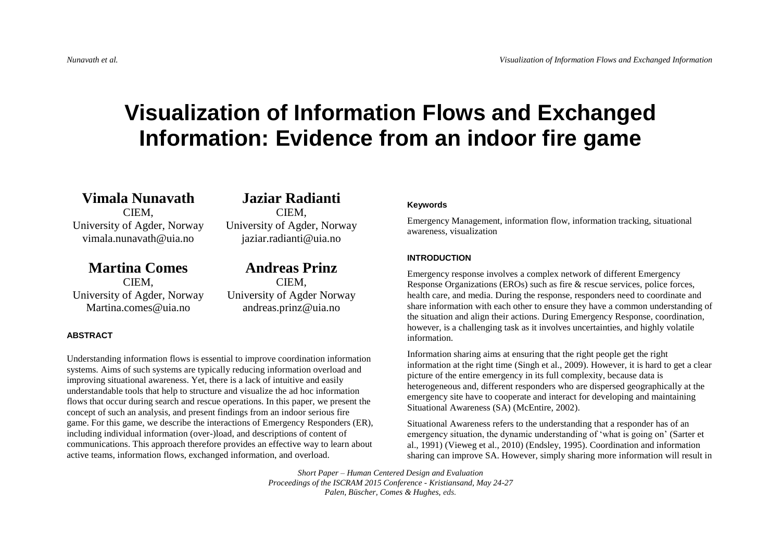# **Visualization of Information Flows and Exchanged Information: Evidence from an indoor fire game**

**Vimala Nunavath** CIEM, University of Agder, Norway vimala.nunavath@uia.no

**Martina Comes** CIEM, University of Agder, Norway Martina.comes@uia.no

# **ABSTRACT**

# **Jaziar Radianti** CIEM,

University of Agder, Norway jaziar.radianti@uia.no

**Andreas Prinz** CIEM, University of Agder Norway andreas.prinz@uia.no

Understanding information flows is essential to improve coordination information systems. Aims of such systems are typically reducing information overload and improving situational awareness. Yet, there is a lack of intuitive and easily understandable tools that help to structure and visualize the ad hoc information flows that occur during search and rescue operations. In this paper, we present the concept of such an analysis, and present findings from an indoor serious fire game. For this game, we describe the interactions of Emergency Responders (ER), including individual information (over-)load, and descriptions of content of communications. This approach therefore provides an effective way to learn about active teams, information flows, exchanged information, and overload.

# **Keywords**

Emergency Management, information flow, information tracking, situational awareness, visualization

# **INTRODUCTION**

Emergency response involves a complex network of different Emergency Response Organizations (EROs) such as fire & rescue services, police forces, health care, and media. During the response, responders need to coordinate and share information with each other to ensure they have a common understanding of the situation and align their actions. During Emergency Response, coordination, however, is a challenging task as it involves uncertainties, and highly volatile information.

Information sharing aims at ensuring that the right people get the right information at the right time (Singh et al., 2009). However, it is hard to get a clear picture of the entire emergency in its full complexity, because data is heterogeneous and, different responders who are dispersed geographically at the emergency site have to cooperate and interact for developing and maintaining Situational Awareness (SA) (McEntire, 2002).

Situational Awareness refers to the understanding that a responder has of an emergency situation, the dynamic understanding of 'what is going on' (Sarter et al., 1991) (Vieweg et al., 2010) (Endsley, 1995). Coordination and information sharing can improve SA. However, simply sharing more information will result in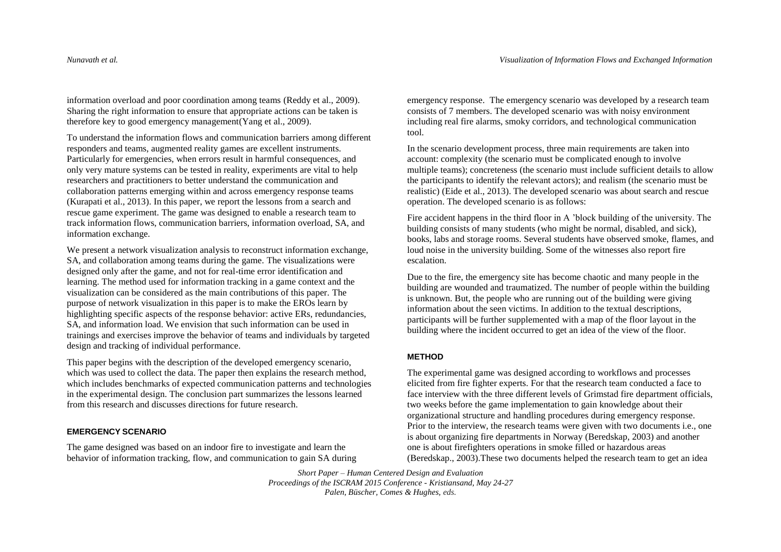information overload and poor coordination among teams (Reddy et al., 2009). Sharing the right information to ensure that appropriate actions can be taken is therefore key to good emergency management(Yang et al., 2009).

To understand the information flows and communication barriers among different responders and teams, augmented reality games are excellent instruments. Particularly for emergencies, when errors result in harmful consequences, and only very mature systems can be tested in reality, experiments are vital to help researchers and practitioners to better understand the communication and collaboration patterns emerging within and across emergency response teams (Kurapati et al., 2013). In this paper, we report the lessons from a search and rescue game experiment. The game was designed to enable a research team to track information flows, communication barriers, information overload, SA, and information exchange.

We present a network visualization analysis to reconstruct information exchange, SA, and collaboration among teams during the game. The visualizations were designed only after the game, and not for real-time error identification and learning. The method used for information tracking in a game context and the visualization can be considered as the main contributions of this paper. The purpose of network visualization in this paper is to make the EROs learn by highlighting specific aspects of the response behavior: active ERs, redundancies, SA, and information load. We envision that such information can be used in trainings and exercises improve the behavior of teams and individuals by targeted design and tracking of individual performance.

This paper begins with the description of the developed emergency scenario, which was used to collect the data. The paper then explains the research method, which includes benchmarks of expected communication patterns and technologies in the experimental design. The conclusion part summarizes the lessons learned from this research and discusses directions for future research.

# **EMERGENCY SCENARIO**

The game designed was based on an indoor fire to investigate and learn the behavior of information tracking, flow, and communication to gain SA during

emergency response. The emergency scenario was developed by a research team consists of 7 members. The developed scenario was with noisy environment including real fire alarms, smoky corridors, and technological communication tool.

In the scenario development process, three main requirements are taken into account: complexity (the scenario must be complicated enough to involve multiple teams); concreteness (the scenario must include sufficient details to allow the participants to identify the relevant actors); and realism (the scenario must be realistic) (Eide et al., 2013). The developed scenario was about search and rescue operation. The developed scenario is as follows:

Fire accident happens in the third floor in A 'block building of the university. The building consists of many students (who might be normal, disabled, and sick), books, labs and storage rooms. Several students have observed smoke, flames, and loud noise in the university building. Some of the witnesses also report fire escalation.

Due to the fire, the emergency site has become chaotic and many people in the building are wounded and traumatized. The number of people within the building is unknown. But, the people who are running out of the building were giving information about the seen victims. In addition to the textual descriptions, participants will be further supplemented with a map of the floor layout in the building where the incident occurred to get an idea of the view of the floor.

# **METHOD**

The experimental game was designed according to workflows and processes elicited from fire fighter experts. For that the research team conducted a face to face interview with the three different levels of Grimstad fire department officials, two weeks before the game implementation to gain knowledge about their organizational structure and handling procedures during emergency response. Prior to the interview, the research teams were given with two documents i.e., one is about organizing fire departments in Norway (Beredskap, 2003) and another one is about firefighters operations in smoke filled or hazardous areas (Beredskap., 2003).These two documents helped the research team to get an idea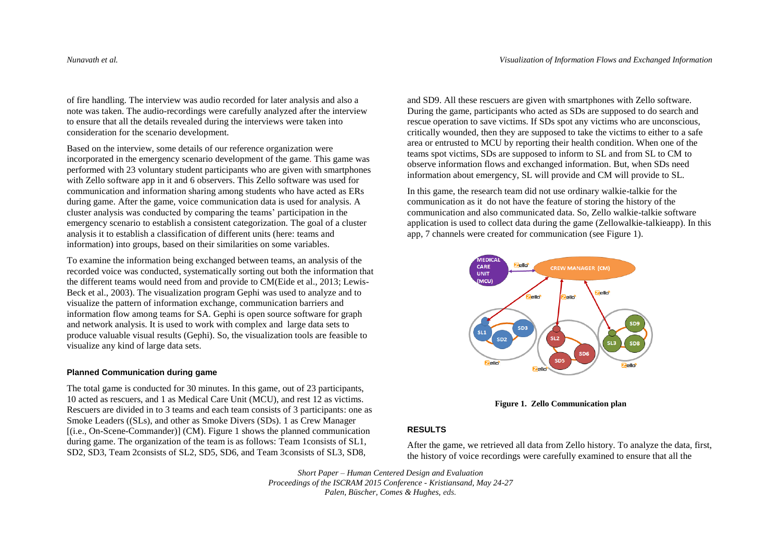of fire handling. The interview was audio recorded for later analysis and also a note was taken. The audio-recordings were carefully analyzed after the interview to ensure that all the details revealed during the interviews were taken into consideration for the scenario development.

Based on the interview, some details of our reference organization were incorporated in the emergency scenario development of the game. This game was performed with 23 voluntary student participants who are given with smartphones with Zello software app in it and 6 observers. This Zello software was used for communication and information sharing among students who have acted as ERs during game. After the game, voice communication data is used for analysis. A cluster analysis was conducted by comparing the teams' participation in the emergency scenario to establish a consistent categorization. The goal of a cluster analysis it to establish a classification of different units (here: teams and information) into groups, based on their similarities on some variables.

To examine the information being exchanged between teams, an analysis of the recorded voice was conducted, systematically sorting out both the information that the different teams would need from and provide to CM(Eide et al., 2013; Lewis-Beck et al., 2003). The visualization program Gephi was used to analyze and to visualize the pattern of information exchange, communication barriers and information flow among teams for SA. Gephi is open source software for graph and network analysis. It is used to work with complex and large data sets to produce valuable visual results (Gephi). So, the visualization tools are feasible to visualize any kind of large data sets.

### **Planned Communication during game**

The total game is conducted for 30 minutes. In this game, out of 23 participants, 10 acted as rescuers, and 1 as Medical Care Unit (MCU), and rest 12 as victims. Rescuers are divided in to 3 teams and each team consists of 3 participants: one as Smoke Leaders ((SLs), and other as Smoke Divers (SDs). 1 as Crew Manager [(i.e., On-Scene-Commander)] (CM). Figure 1 shows the planned communication during game. The organization of the team is as follows: Team 1consists of SL1, SD2, SD3, Team 2consists of SL2, SD5, SD6, and Team 3consists of SL3, SD8,

and SD9. All these rescuers are given with smartphones with Zello software. During the game, participants who acted as SDs are supposed to do search and rescue operation to save victims. If SDs spot any victims who are unconscious, critically wounded, then they are supposed to take the victims to either to a safe area or entrusted to MCU by reporting their health condition. When one of the teams spot victims, SDs are supposed to inform to SL and from SL to CM to observe information flows and exchanged information. But, when SDs need information about emergency, SL will provide and CM will provide to SL.

In this game, the research team did not use ordinary walkie-talkie for the communication as it do not have the feature of storing the history of the communication and also communicated data. So, Zello walkie-talkie software application is used to collect data during the game (Zellowalkie-talkieapp). In this app, 7 channels were created for communication (see Figure 1).



**Figure 1. Zello Communication plan**

### **RESULTS**

After the game, we retrieved all data from Zello history. To analyze the data, first, the history of voice recordings were carefully examined to ensure that all the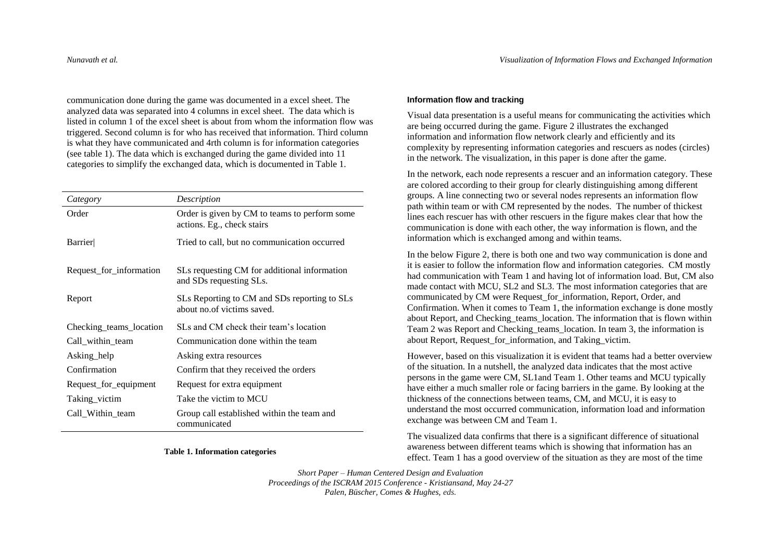communication done during the game was documented in a excel sheet. The analyzed data was separated into 4 columns in excel sheet. The data which is listed in column 1 of the excel sheet is about from whom the information flow was triggered. Second column is for who has received that information. Third column is what they have communicated and 4rth column is for information categories (see table 1). The data which is exchanged during the game divided into 11 categories to simplify the exchanged data, which is documented in Table 1.

| Category                | Description                                                                 |
|-------------------------|-----------------------------------------------------------------------------|
| Order                   | Order is given by CM to teams to perform some<br>actions. Eg., check stairs |
| <b>Barrier</b>          | Tried to call, but no communication occurred                                |
| Request_for_information | SLs requesting CM for additional information<br>and SDs requesting SLs.     |
| Report                  | SLs Reporting to CM and SDs reporting to SLs<br>about no.of victims saved.  |
| Checking_teams_location | SLs and CM check their team's location                                      |
| Call within team        | Communication done within the team                                          |
| Asking help             | Asking extra resources                                                      |
| Confirmation            | Confirm that they received the orders                                       |
| Request_for_equipment   | Request for extra equipment                                                 |
| Taking_victim           | Take the victim to MCU                                                      |
| Call Within team        | Group call established within the team and<br>communicated                  |

#### **Table 1. Information categories**

### **Information flow and tracking**

Visual data presentation is a useful means for communicating the activities which are being occurred during the game. Figure 2 illustrates the exchanged information and information flow network clearly and efficiently and its complexity by representing information categories and rescuers as nodes (circles) in the network. The visualization, in this paper is done after the game.

In the network, each node represents a rescuer and an information category. These are colored according to their group for clearly distinguishing among different groups. A line connecting two or several nodes represents an information flow path within team or with CM represented by the nodes. The number of thickest lines each rescuer has with other rescuers in the figure makes clear that how the communication is done with each other, the way information is flown, and the information which is exchanged among and within teams.

In the below Figure 2, there is both one and two way communication is done and it is easier to follow the information flow and information categories. CM mostly had communication with Team 1 and having lot of information load. But, CM also made contact with MCU, SL2 and SL3. The most information categories that are communicated by CM were Request\_for\_information, Report, Order, and Confirmation. When it comes to Team 1, the information exchange is done mostly about Report, and Checking\_teams\_location. The information that is flown within Team 2 was Report and Checking\_teams\_location. In team 3, the information is about Report, Request for information, and Taking victim.

However, based on this visualization it is evident that teams had a better overview of the situation. In a nutshell, the analyzed data indicates that the most active persons in the game were CM, SL1and Team 1. Other teams and MCU typically have either a much smaller role or facing barriers in the game. By looking at the thickness of the connections between teams, CM, and MCU, it is easy to understand the most occurred communication, information load and information exchange was between CM and Team 1.

The visualized data confirms that there is a significant difference of situational awareness between different teams which is showing that information has an effect. Team 1 has a good overview of the situation as they are most of the time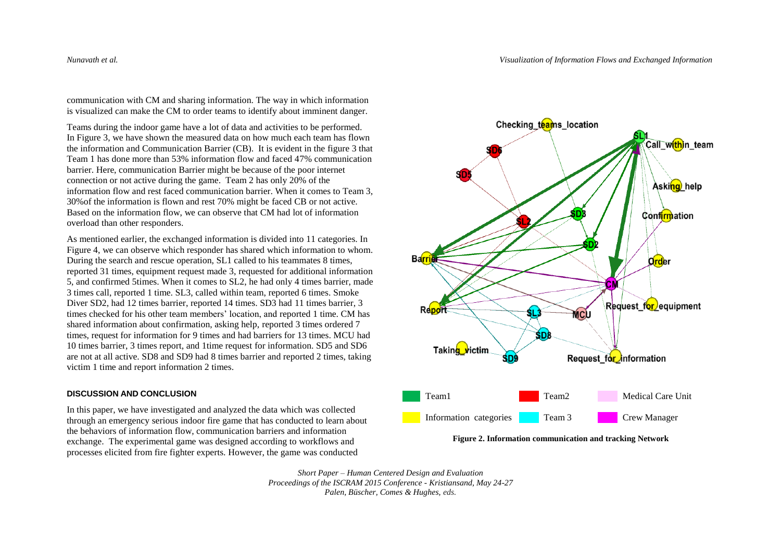communication with CM and sharing information. The way in which information is visualized can make the CM to order teams to identify about imminent danger.

Teams during the indoor game have a lot of data and activities to be performed. In Figure 3, we have shown the measured data on how much each team has flown the information and Communication Barrier (CB). It is evident in the figure 3 that Team 1 has done more than 53% information flow and faced 47% communication barrier. Here, communication Barrier might be because of the poor internet connection or not active during the game. Team 2 has only 20% of the information flow and rest faced communication barrier. When it comes to Team 3, 30%of the information is flown and rest 70% might be faced CB or not active. Based on the information flow, we can observe that CM had lot of information overload than other responders.

As mentioned earlier, the exchanged information is divided into 11 categories. In Figure 4, we can observe which responder has shared which information to whom. During the search and rescue operation, SL1 called to his teammates 8 times, reported 31 times, equipment request made 3, requested for additional information 5, and confirmed 5times. When it comes to SL2, he had only 4 times barrier, made 3 times call, reported 1 time. SL3, called within team, reported 6 times. Smoke Diver SD2, had 12 times barrier, reported 14 times. SD3 had 11 times barrier, 3 times checked for his other team members' location, and reported 1 time. CM has shared information about confirmation, asking help, reported 3 times ordered 7 times, request for information for 9 times and had barriers for 13 times. MCU had 10 times barrier, 3 times report, and 1time request for information. SD5 and SD6 are not at all active. SD8 and SD9 had 8 times barrier and reported 2 times, taking victim 1 time and report information 2 times.

### **DISCUSSION AND CONCLUSION**

In this paper, we have investigated and analyzed the data which was collected through an emergency serious indoor fire game that has conducted to learn about the behaviors of information flow, communication barriers and information exchange. The experimental game was designed according to workflows and processes elicited from fire fighter experts. However, the game was conducted



**Figure 2. Information communication and tracking Network**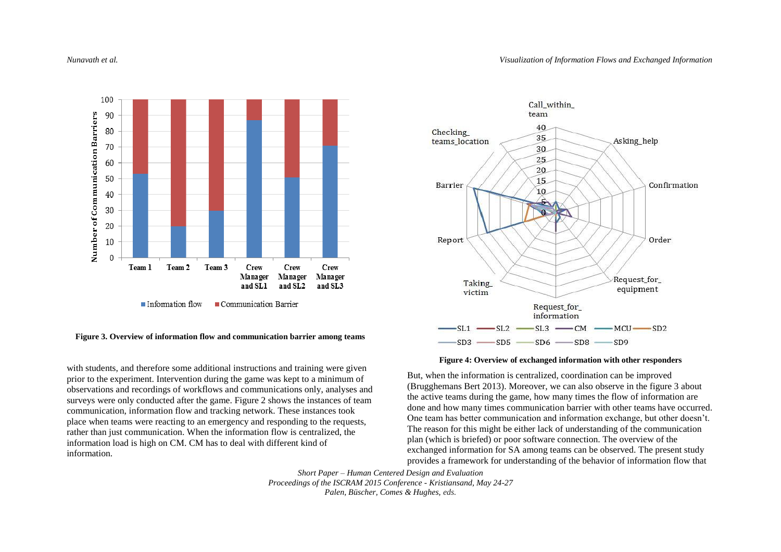

### **Figure 3. Overview of information flow and communication barrier among teams**

with students, and therefore some additional instructions and training were given prior to the experiment. Intervention during the game was kept to a minimum of observations and recordings of workflows and communications only, analyses and surveys were only conducted after the game. Figure 2 shows the instances of team communication, information flow and tracking network. These instances took place when teams were reacting to an emergency and responding to the requests, rather than just communication. When the information flow is centralized, the information load is high on CM. CM has to deal with different kind of information.



#### **Figure 4: Overview of exchanged information with other responders**

But, when the information is centralized, coordination can be improved (Brugghemans Bert 2013). Moreover, we can also observe in the figure 3 about the active teams during the game, how many times the flow of information are done and how many times communication barrier with other teams have occurred. One team has better communication and information exchange, but other doesn't. The reason for this might be either lack of understanding of the communication plan (which is briefed) or poor software connection. The overview of the exchanged information for SA among teams can be observed. The present study provides a framework for understanding of the behavior of information flow that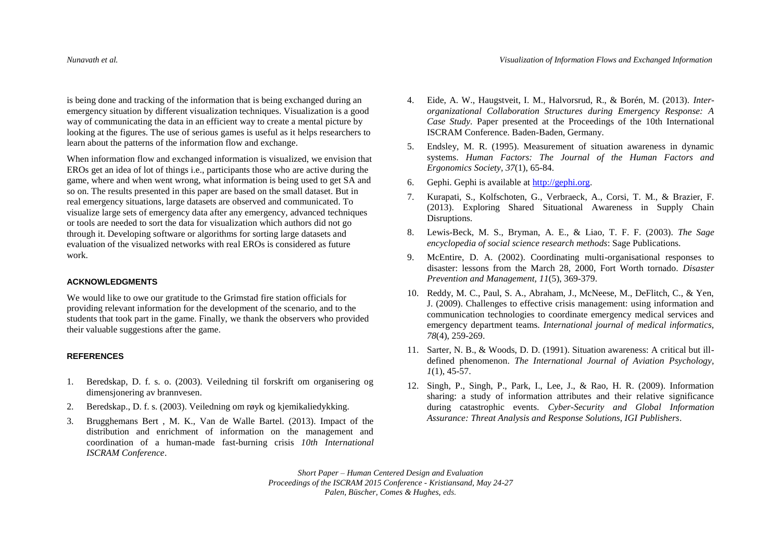is being done and tracking of the information that is being exchanged during an emergency situation by different visualization techniques. Visualization is a good way of communicating the data in an efficient way to create a mental picture by looking at the figures. The use of serious games is useful as it helps researchers to learn about the patterns of the information flow and exchange.

When information flow and exchanged information is visualized, we envision that EROs get an idea of lot of things i.e., participants those who are active during the game, where and when went wrong, what information is being used to get SA and so on. The results presented in this paper are based on the small dataset. But in real emergency situations, large datasets are observed and communicated. To visualize large sets of emergency data after any emergency, advanced techniques or tools are needed to sort the data for visualization which authors did not go through it. Developing software or algorithms for sorting large datasets and evaluation of the visualized networks with real EROs is considered as future work.

### **ACKNOWLEDGMENTS**

We would like to owe our gratitude to the Grimstad fire station officials for providing relevant information for the development of the scenario, and to the students that took part in the game. Finally, we thank the observers who provided their valuable suggestions after the game.

### **REFERENCES**

- 1. Beredskap, D. f. s. o. (2003). Veiledning til forskrift om organisering og dimensjonering av brannvesen.
- 2. Beredskap., D. f. s. (2003). Veiledning om røyk og kjemikaliedykking.
- 3. Brugghemans Bert , M. K., Van de Walle Bartel. (2013). Impact of the distribution and enrichment of information on the management and coordination of a human-made fast-burning crisis *10th International ISCRAM Conference*.
- 4. Eide, A. W., Haugstveit, I. M., Halvorsrud, R., & Borén, M. (2013). *Interorganizational Collaboration Structures during Emergency Response: A Case Study.* Paper presented at the Proceedings of the 10th International ISCRAM Conference. Baden-Baden, Germany.
- 5. Endsley, M. R. (1995). Measurement of situation awareness in dynamic systems. *Human Factors: The Journal of the Human Factors and Ergonomics Society, 37*(1), 65-84.
- 6. Gephi. Gephi is available at [http://gephi.org.](http://gephi.org/)
- 7. Kurapati, S., Kolfschoten, G., Verbraeck, A., Corsi, T. M., & Brazier, F. (2013). Exploring Shared Situational Awareness in Supply Chain Disruptions.
- 8. Lewis-Beck, M. S., Bryman, A. E., & Liao, T. F. F. (2003). *The Sage encyclopedia of social science research methods*: Sage Publications.
- 9. McEntire, D. A. (2002). Coordinating multi-organisational responses to disaster: lessons from the March 28, 2000, Fort Worth tornado. *Disaster Prevention and Management, 11*(5), 369-379.
- 10. Reddy, M. C., Paul, S. A., Abraham, J., McNeese, M., DeFlitch, C., & Yen, J. (2009). Challenges to effective crisis management: using information and communication technologies to coordinate emergency medical services and emergency department teams. *International journal of medical informatics, 78*(4), 259-269.
- 11. Sarter, N. B., & Woods, D. D. (1991). Situation awareness: A critical but illdefined phenomenon. *The International Journal of Aviation Psychology, 1*(1), 45-57.
- 12. Singh, P., Singh, P., Park, I., Lee, J., & Rao, H. R. (2009). Information sharing: a study of information attributes and their relative significance during catastrophic events. *Cyber-Security and Global Information Assurance: Threat Analysis and Response Solutions, IGI Publishers*.